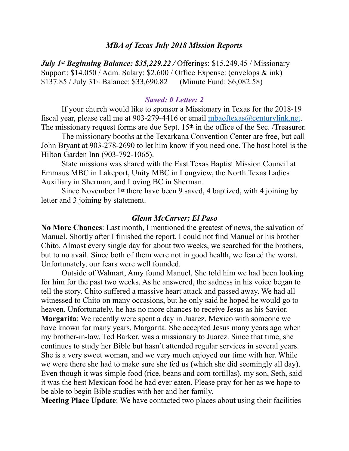### *MBA of Texas July 2018 Mission Reports*

*July 1st Beginning Balance: \$35,229.22 /* Offerings: \$15,249.45 / Missionary Support: \$14,050 / Adm. Salary: \$2,600 / Office Expense: (envelops & ink) \$137.85 / July 31st Balance: \$33,690.82 (Minute Fund: \$6,082.58)

#### *Saved: 0 Letter: 2*

 If your church would like to sponsor a Missionary in Texas for the 2018-19 fiscal year, please call me at 903-279-4416 or email mbaoftexas  $\omega$  centurylink.net. The missionary request forms are due Sept. 15<sup>th</sup> in the office of the Sec. /Treasurer.

 The missionary booths at the Texarkana Convention Center are free, but call John Bryant at 903-278-2690 to let him know if you need one. The host hotel is the Hilton Garden Inn (903-792-1065).

 State missions was shared with the East Texas Baptist Mission Council at Emmaus MBC in Lakeport, Unity MBC in Longview, the North Texas Ladies Auxiliary in Sherman, and Loving BC in Sherman.

 Since November 1st there have been 9 saved, 4 baptized, with 4 joining by letter and 3 joining by statement.

#### *Glenn McCarver; El Paso*

**No More Chances**: Last month, I mentioned the greatest of news, the salvation of Manuel. Shortly after I finished the report, I could not find Manuel or his brother Chito. Almost every single day for about two weeks, we searched for the brothers, but to no avail. Since both of them were not in good health, we feared the worst. Unfortunately, our fears were well founded.

 Outside of Walmart, Amy found Manuel. She told him we had been looking for him for the past two weeks. As he answered, the sadness in his voice began to tell the story. Chito suffered a massive heart attack and passed away. We had all witnessed to Chito on many occasions, but he only said he hoped he would go to heaven. Unfortunately, he has no more chances to receive Jesus as his Savior. **Margarita**: We recently were spent a day in Juarez, Mexico with someone we have known for many years, Margarita. She accepted Jesus many years ago when my brother-in-law, Ted Barker, was a missionary to Juarez. Since that time, she continues to study her Bible but hasn't attended regular services in several years. She is a very sweet woman, and we very much enjoyed our time with her. While we were there she had to make sure she fed us (which she did seemingly all day). Even though it was simple food (rice, beans and corn tortillas), my son, Seth, said it was the best Mexican food he had ever eaten. Please pray for her as we hope to be able to begin Bible studies with her and her family.

**Meeting Place Update**: We have contacted two places about using their facilities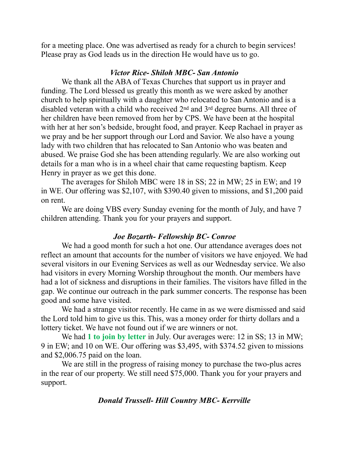for a meeting place. One was advertised as ready for a church to begin services! Please pray as God leads us in the direction He would have us to go.

# *Victor Rice- Shiloh MBC- San Antonio*

 We thank all the ABA of Texas Churches that support us in prayer and funding. The Lord blessed us greatly this month as we were asked by another church to help spiritually with a daughter who relocated to San Antonio and is a disabled veteran with a child who received 2nd and 3rd degree burns. All three of her children have been removed from her by CPS. We have been at the hospital with her at her son's bedside, brought food, and prayer. Keep Rachael in prayer as we pray and be her support through our Lord and Savior. We also have a young lady with two children that has relocated to San Antonio who was beaten and abused. We praise God she has been attending regularly. We are also working out details for a man who is in a wheel chair that came requesting baptism. Keep Henry in prayer as we get this done.

 The averages for Shiloh MBC were 18 in SS; 22 in MW; 25 in EW; and 19 in WE. Our offering was \$2,107, with \$390.40 given to missions, and \$1,200 paid on rent.

 We are doing VBS every Sunday evening for the month of July, and have 7 children attending. Thank you for your prayers and support.

## *Joe Bozarth- Fellowship BC- Conroe*

 We had a good month for such a hot one. Our attendance averages does not reflect an amount that accounts for the number of visitors we have enjoyed. We had several visitors in our Evening Services as well as our Wednesday service. We also had visitors in every Morning Worship throughout the month. Our members have had a lot of sickness and disruptions in their families. The visitors have filled in the gap. We continue our outreach in the park summer concerts. The response has been good and some have visited.

 We had a strange visitor recently. He came in as we were dismissed and said the Lord told him to give us this. This, was a money order for thirty dollars and a lottery ticket. We have not found out if we are winners or not.

We had 1 to join by letter in July. Our averages were: 12 in SS; 13 in MW; 9 in EW; and 10 on WE. Our offering was \$3,495, with \$374.52 given to missions and \$2,006.75 paid on the loan.

 We are still in the progress of raising money to purchase the two-plus acres in the rear of our property. We still need \$75,000. Thank you for your prayers and support.

# *Donald Trussell- Hill Country MBC- Kerrville*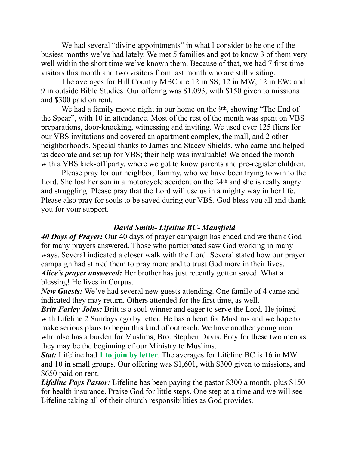We had several "divine appointments" in what I consider to be one of the busiest months we've had lately. We met 5 families and got to know 3 of them very well within the short time we've known them. Because of that, we had 7 first-time visitors this month and two visitors from last month who are still visiting.

 The averages for Hill Country MBC are 12 in SS; 12 in MW; 12 in EW; and 9 in outside Bible Studies. Our offering was \$1,093, with \$150 given to missions and \$300 paid on rent.

We had a family movie night in our home on the 9<sup>th</sup>, showing "The End of the Spear", with 10 in attendance. Most of the rest of the month was spent on VBS preparations, door-knocking, witnessing and inviting. We used over 125 fliers for our VBS invitations and covered an apartment complex, the mall, and 2 other neighborhoods. Special thanks to James and Stacey Shields, who came and helped us decorate and set up for VBS; their help was invaluable! We ended the month with a VBS kick-off party, where we got to know parents and pre-register children.

 Please pray for our neighbor, Tammy, who we have been trying to win to the Lord. She lost her son in a motorcycle accident on the 24<sup>th</sup> and she is really angry and struggling. Please pray that the Lord will use us in a mighty way in her life. Please also pray for souls to be saved during our VBS. God bless you all and thank you for your support.

## *David Smith- Lifeline BC- Mansfield*

*40 Days of Prayer:* Our 40 days of prayer campaign has ended and we thank God for many prayers answered. Those who participated saw God working in many ways. Several indicated a closer walk with the Lord. Several stated how our prayer campaign had stirred them to pray more and to trust God more in their lives. *Alice's prayer answered:* Her brother has just recently gotten saved. What a blessing! He lives in Corpus.

*New Guests:* We've had several new guests attending. One family of 4 came and indicated they may return. Others attended for the first time, as well.

*Britt Farley Joins:* Britt is a soul-winner and eager to serve the Lord. He joined with Lifeline 2 Sundays ago by letter. He has a heart for Muslims and we hope to make serious plans to begin this kind of outreach. We have another young man who also has a burden for Muslims, Bro. Stephen Davis. Pray for these two men as they may be the beginning of our Ministry to Muslims.

*Stat:* Lifeline had **1 to join by letter**. The averages for Lifeline BC is 16 in MW and 10 in small groups. Our offering was \$1,601, with \$300 given to missions, and \$650 paid on rent.

*Lifeline Pays Pastor:* Lifeline has been paying the pastor \$300 a month, plus \$150 for health insurance. Praise God for little steps. One step at a time and we will see Lifeline taking all of their church responsibilities as God provides.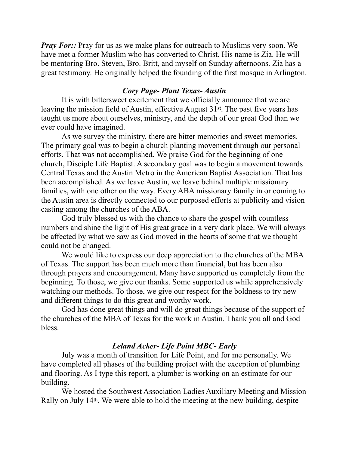*Pray For::* Pray for us as we make plans for outreach to Muslims very soon. We have met a former Muslim who has converted to Christ. His name is Zia. He will be mentoring Bro. Steven, Bro. Britt, and myself on Sunday afternoons. Zia has a great testimony. He originally helped the founding of the first mosque in Arlington.

# *Cory Page- Plant Texas- Austin*

 It is with bittersweet excitement that we officially announce that we are leaving the mission field of Austin, effective August 31st. The past five years has taught us more about ourselves, ministry, and the depth of our great God than we ever could have imagined.

 As we survey the ministry, there are bitter memories and sweet memories. The primary goal was to begin a church planting movement through our personal efforts. That was not accomplished. We praise God for the beginning of one church, Disciple Life Baptist. A secondary goal was to begin a movement towards Central Texas and the Austin Metro in the American Baptist Association. That has been accomplished. As we leave Austin, we leave behind multiple missionary families, with one other on the way. Every ABA missionary family in or coming to the Austin area is directly connected to our purposed efforts at publicity and vision casting among the churches of the ABA.

 God truly blessed us with the chance to share the gospel with countless numbers and shine the light of His great grace in a very dark place. We will always be affected by what we saw as God moved in the hearts of some that we thought could not be changed.

 We would like to express our deep appreciation to the churches of the MBA of Texas. The support has been much more than financial, but has been also through prayers and encouragement. Many have supported us completely from the beginning. To those, we give our thanks. Some supported us while apprehensively watching our methods. To those, we give our respect for the boldness to try new and different things to do this great and worthy work.

 God has done great things and will do great things because of the support of the churches of the MBA of Texas for the work in Austin. Thank you all and God bless.

# *Leland Acker- Life Point MBC- Early*

 July was a month of transition for Life Point, and for me personally. We have completed all phases of the building project with the exception of plumbing and flooring. As I type this report, a plumber is working on an estimate for our building.

 We hosted the Southwest Association Ladies Auxiliary Meeting and Mission Rally on July 14th. We were able to hold the meeting at the new building, despite